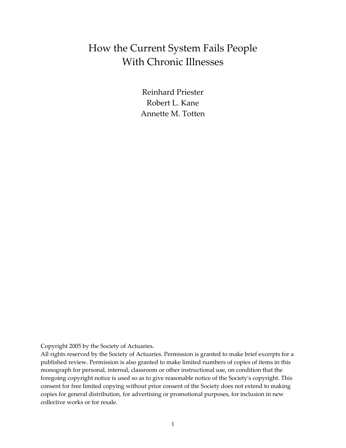# How the Current System Fails People With Chronic Illnesses

Reinhard Priester Robert L. Kane Annette M. Totten

Copyright 2005 by the Society of Actuaries.

All rights reserved by the Society of Actuaries. Permission is granted to make brief excerpts for a published review. Permission is also granted to make limited numbers of copies of items in this monograph for personal, internal, classroom or other instructional use, on condition that the foregoing copyright notice is used so as to give reasonable notice of the Society's copyright. This consent for free limited copying without prior consent of the Society does not extend to making copies for general distribution, for advertising or promotional purposes, for inclusion in new collective works or for resale.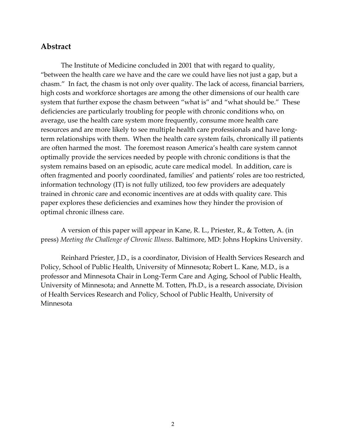# **Abstract**

 The Institute of Medicine concluded in 2001 that with regard to quality, "between the health care we have and the care we could have lies not just a gap, but a chasm." In fact, the chasm is not only over quality. The lack of access, financial barriers, high costs and workforce shortages are among the other dimensions of our health care system that further expose the chasm between "what is" and "what should be." These deficiencies are particularly troubling for people with chronic conditions who, on average, use the health care system more frequently, consume more health care resources and are more likely to see multiple health care professionals and have longterm relationships with them. When the health care system fails, chronically ill patients are often harmed the most. The foremost reason America's health care system cannot optimally provide the services needed by people with chronic conditions is that the system remains based on an episodic, acute care medical model. In addition, care is often fragmented and poorly coordinated, families' and patients' roles are too restricted, information technology (IT) is not fully utilized, too few providers are adequately trained in chronic care and economic incentives are at odds with quality care. This paper explores these deficiencies and examines how they hinder the provision of optimal chronic illness care.

 A version of this paper will appear in Kane, R. L., Priester, R., & Totten, A. (in press) *Meeting the Challenge of Chronic Illness*. Baltimore, MD: Johns Hopkins University.

 Reinhard Priester, J.D., is a coordinator, Division of Health Services Research and Policy, School of Public Health, University of Minnesota; Robert L. Kane, M.D., is a professor and Minnesota Chair in Long-Term Care and Aging, School of Public Health, University of Minnesota; and Annette M. Totten, Ph.D., is a research associate, Division of Health Services Research and Policy, School of Public Health, University of Minnesota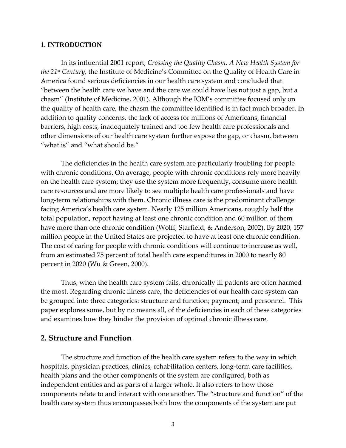#### **1. INTRODUCTION**

 In its influential 2001 report, *Crossing the Quality Chasm*, *A New Health System for the 21st Century*, the Institute of Medicine's Committee on the Quality of Health Care in America found serious deficiencies in our health care system and concluded that "between the health care we have and the care we could have lies not just a gap, but a chasm" (Institute of Medicine, 2001). Although the IOM's committee focused only on the quality of health care, the chasm the committee identified is in fact much broader. In addition to quality concerns, the lack of access for millions of Americans, financial barriers, high costs, inadequately trained and too few health care professionals and other dimensions of our health care system further expose the gap, or chasm, between "what is" and "what should be."

The deficiencies in the health care system are particularly troubling for people with chronic conditions. On average, people with chronic conditions rely more heavily on the health care system; they use the system more frequently, consume more health care resources and are more likely to see multiple health care professionals and have long-term relationships with them. Chronic illness care is the predominant challenge facing America's health care system. Nearly 125 million Americans, roughly half the total population, report having at least one chronic condition and 60 million of them have more than one chronic condition (Wolff, Starfield, & Anderson, 2002). By 2020, 157 million people in the United States are projected to have at least one chronic condition. The cost of caring for people with chronic conditions will continue to increase as well, from an estimated 75 percent of total health care expenditures in 2000 to nearly 80 percent in 2020 (Wu & Green, 2000).

Thus, when the health care system fails, chronically ill patients are often harmed the most. Regarding chronic illness care, the deficiencies of our health care system can be grouped into three categories: structure and function; payment; and personnel. This paper explores some, but by no means all, of the deficiencies in each of these categories and examines how they hinder the provision of optimal chronic illness care.

### **2. Structure and Function**

The structure and function of the health care system refers to the way in which hospitals, physician practices, clinics, rehabilitation centers, long-term care facilities, health plans and the other components of the system are configured, both as independent entities and as parts of a larger whole. It also refers to how those components relate to and interact with one another. The "structure and function" of the health care system thus encompasses both how the components of the system are put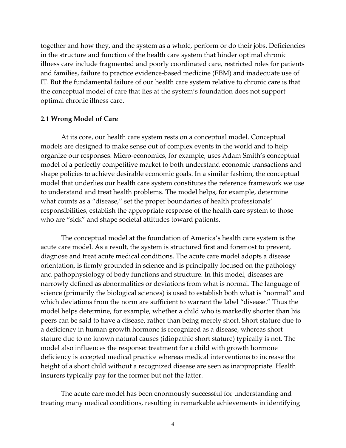together and how they, and the system as a whole, perform or do their jobs. Deficiencies in the structure and function of the health care system that hinder optimal chronic illness care include fragmented and poorly coordinated care, restricted roles for patients and families, failure to practice evidence-based medicine (EBM) and inadequate use of IT. But the fundamental failure of our health care system relative to chronic care is that the conceptual model of care that lies at the system's foundation does not support optimal chronic illness care.

### **2.1 Wrong Model of Care**

At its core, our health care system rests on a conceptual model. Conceptual models are designed to make sense out of complex events in the world and to help organize our responses. Micro-economics, for example, uses Adam Smith's conceptual model of a perfectly competitive market to both understand economic transactions and shape policies to achieve desirable economic goals. In a similar fashion, the conceptual model that underlies our health care system constitutes the reference framework we use to understand and treat health problems. The model helps, for example, determine what counts as a "disease," set the proper boundaries of health professionals' responsibilities, establish the appropriate response of the health care system to those who are "sick" and shape societal attitudes toward patients.

The conceptual model at the foundation of America's health care system is the acute care model. As a result, the system is structured first and foremost to prevent, diagnose and treat acute medical conditions. The acute care model adopts a disease orientation, is firmly grounded in science and is principally focused on the pathology and pathophysiology of body functions and structure. In this model, diseases are narrowly defined as abnormalities or deviations from what is normal. The language of science (primarily the biological sciences) is used to establish both what is "normal" and which deviations from the norm are sufficient to warrant the label "disease." Thus the model helps determine, for example, whether a child who is markedly shorter than his peers can be said to have a disease, rather than being merely short. Short stature due to a deficiency in human growth hormone is recognized as a disease, whereas short stature due to no known natural causes (idiopathic short stature) typically is not. The model also influences the response: treatment for a child with growth hormone deficiency is accepted medical practice whereas medical interventions to increase the height of a short child without a recognized disease are seen as inappropriate. Health insurers typically pay for the former but not the latter.

The acute care model has been enormously successful for understanding and treating many medical conditions, resulting in remarkable achievements in identifying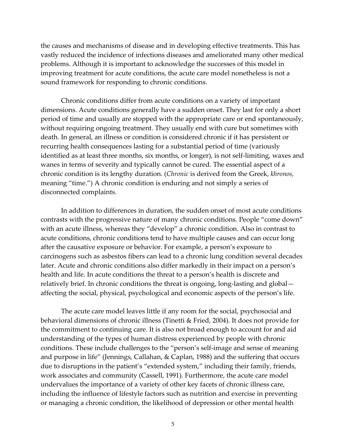the causes and mechanisms of disease and in developing effective treatments. This has vastly reduced the incidence of infections diseases and ameliorated many other medical problems. Although it is important to acknowledge the successes of this model in improving treatment for acute conditions, the acute care model nonetheless is not a sound framework for responding to chronic conditions.

Chronic conditions differ from acute conditions on a variety of important dimensions. Acute conditions generally have a sudden onset. They last for only a short period of time and usually are stopped with the appropriate care or end spontaneously, without requiring ongoing treatment. They usually end with cure but sometimes with death. In general, an illness or condition is considered chronic if it has persistent or recurring health consequences lasting for a substantial period of time (variously identified as at least three months, six months, or longer), is not self-limiting, waxes and wanes in terms of severity and typically cannot be cured. The essential aspect of a chronic condition is its lengthy duration. (*Chronic* is derived from the Greek, *khronos,* meaning "time.") A chronic condition is enduring and not simply a series of disconnected complaints.

In addition to differences in duration, the sudden onset of most acute conditions contrasts with the progressive nature of many chronic conditions. People "come down" with an acute illness, whereas they "develop" a chronic condition. Also in contrast to acute conditions, chronic conditions tend to have multiple causes and can occur long after the causative exposure or behavior. For example, a person's exposure to carcinogens such as asbestos fibers can lead to a chronic lung condition several decades later. Acute and chronic conditions also differ markedly in their impact on a person's health and life. In acute conditions the threat to a person's health is discrete and relatively brief. In chronic conditions the threat is ongoing, long-lasting and global affecting the social, physical, psychological and economic aspects of the person's life.

The acute care model leaves little if any room for the social, psychosocial and behavioral dimensions of chronic illness (Tinetti & Fried, 2004). It does not provide for the commitment to continuing care. It is also not broad enough to account for and aid understanding of the types of human distress experienced by people with chronic conditions. These include challenges to the "person's self-image and sense of meaning and purpose in life" (Jennings, Callahan, & Caplan, 1988) and the suffering that occurs due to disruptions in the patient's "extended system," including their family, friends, work associates and community (Cassell, 1991). Furthermore, the acute care model undervalues the importance of a variety of other key facets of chronic illness care, including the influence of lifestyle factors such as nutrition and exercise in preventing or managing a chronic condition, the likelihood of depression or other mental health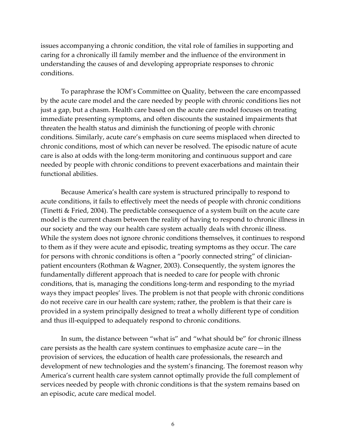issues accompanying a chronic condition, the vital role of families in supporting and caring for a chronically ill family member and the influence of the environment in understanding the causes of and developing appropriate responses to chronic conditions.

To paraphrase the IOM's Committee on Quality, between the care encompassed by the acute care model and the care needed by people with chronic conditions lies not just a gap, but a chasm. Health care based on the acute care model focuses on treating immediate presenting symptoms, and often discounts the sustained impairments that threaten the health status and diminish the functioning of people with chronic conditions. Similarly, acute care's emphasis on cure seems misplaced when directed to chronic conditions, most of which can never be resolved. The episodic nature of acute care is also at odds with the long-term monitoring and continuous support and care needed by people with chronic conditions to prevent exacerbations and maintain their functional abilities.

Because America's health care system is structured principally to respond to acute conditions, it fails to effectively meet the needs of people with chronic conditions (Tinetti & Fried, 2004). The predictable consequence of a system built on the acute care model is the current chasm between the reality of having to respond to chronic illness in our society and the way our health care system actually deals with chronic illness. While the system does not ignore chronic conditions themselves, it continues to respond to them as if they were acute and episodic, treating symptoms as they occur. The care for persons with chronic conditions is often a "poorly connected string" of clinicianpatient encounters (Rothman & Wagner, 2003). Consequently, the system ignores the fundamentally different approach that is needed to care for people with chronic conditions, that is, managing the conditions long-term and responding to the myriad ways they impact peoples' lives. The problem is not that people with chronic conditions do not receive care in our health care system; rather, the problem is that their care is provided in a system principally designed to treat a wholly different type of condition and thus ill-equipped to adequately respond to chronic conditions.

In sum, the distance between "what is" and "what should be" for chronic illness care persists as the health care system continues to emphasize acute care—in the provision of services, the education of health care professionals, the research and development of new technologies and the system's financing. The foremost reason why America's current health care system cannot optimally provide the full complement of services needed by people with chronic conditions is that the system remains based on an episodic, acute care medical model.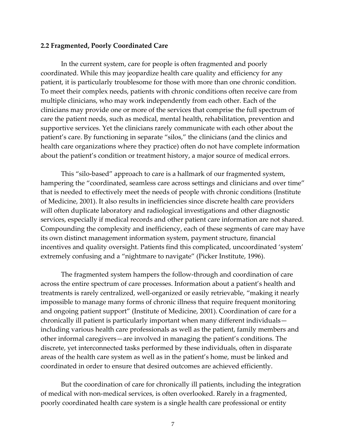### **2.2 Fragmented, Poorly Coordinated Care**

In the current system, care for people is often fragmented and poorly coordinated. While this may jeopardize health care quality and efficiency for any patient, it is particularly troublesome for those with more than one chronic condition. To meet their complex needs, patients with chronic conditions often receive care from multiple clinicians, who may work independently from each other. Each of the clinicians may provide one or more of the services that comprise the full spectrum of care the patient needs, such as medical, mental health, rehabilitation, prevention and supportive services. Yet the clinicians rarely communicate with each other about the patient's care. By functioning in separate "silos," the clinicians (and the clinics and health care organizations where they practice) often do not have complete information about the patient's condition or treatment history, a major source of medical errors.

This "silo-based" approach to care is a hallmark of our fragmented system, hampering the "coordinated, seamless care across settings and clinicians and over time" that is needed to effectively meet the needs of people with chronic conditions (Institute of Medicine, 2001). It also results in inefficiencies since discrete health care providers will often duplicate laboratory and radiological investigations and other diagnostic services, especially if medical records and other patient care information are not shared. Compounding the complexity and inefficiency, each of these segments of care may have its own distinct management information system, payment structure, financial incentives and quality oversight. Patients find this complicated, uncoordinated 'system' extremely confusing and a "nightmare to navigate" (Picker Institute, 1996).

The fragmented system hampers the follow-through and coordination of care across the entire spectrum of care processes. Information about a patient's health and treatments is rarely centralized, well-organized or easily retrievable, "making it nearly impossible to manage many forms of chronic illness that require frequent monitoring and ongoing patient support" (Institute of Medicine, 2001). Coordination of care for a chronically ill patient is particularly important when many different individuals including various health care professionals as well as the patient, family members and other informal caregivers—are involved in managing the patient's conditions. The discrete, yet interconnected tasks performed by these individuals, often in disparate areas of the health care system as well as in the patient's home, must be linked and coordinated in order to ensure that desired outcomes are achieved efficiently.

But the coordination of care for chronically ill patients, including the integration of medical with non-medical services, is often overlooked. Rarely in a fragmented, poorly coordinated health care system is a single health care professional or entity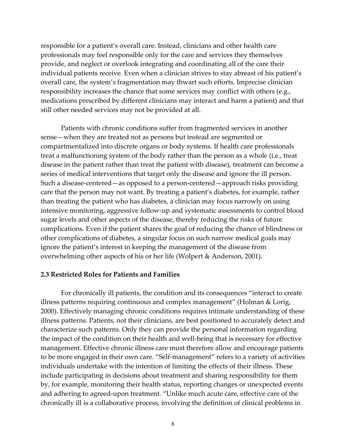responsible for a patient's overall care. Instead, clinicians and other health care professionals may feel responsible only for the care and services they themselves provide, and neglect or overlook integrating and coordinating all of the care their individual patients receive. Even when a clinician strives to stay abreast of his patient's overall care, the system's fragmentation may thwart such efforts. Imprecise clinician responsibility increases the chance that some services may conflict with others (e.g., medications prescribed by different clinicians may interact and harm a patient) and that still other needed services may not be provided at all.

Patients with chronic conditions suffer from fragmented services in another sense—when they are treated not as persons but instead are segmented or compartmentalized into discrete organs or body systems. If health care professionals treat a malfunctioning system of the body rather than the person as a whole (i.e., treat disease in the patient rather than treat the patient with disease), treatment can become a series of medical interventions that target only the disease and ignore the ill person. Such a disease-centered—as opposed to a person-centered—approach risks providing care that the person may not want. By treating a patient's diabetes, for example, rather than treating the patient who has diabetes, a clinician may focus narrowly on using intensive monitoring, aggressive follow-up and systematic assessments to control blood sugar levels and other aspects of the disease, thereby reducing the risks of future complications. Even if the patient shares the goal of reducing the chance of blindness or other complications of diabetes, a singular focus on such narrow medical goals may ignore the patient's interest in keeping the management of the disease from overwhelming other aspects of his or her life (Wolpert & Anderson, 2001).

### **2.3 Restricted Roles for Patients and Families**

For chronically ill patients, the condition and its consequences "interact to create illness patterns requiring continuous and complex management" (Holman & Lorig, 2000). Effectively managing chronic conditions requires intimate understanding of these illness patterns. Patients, not their clinicians, are best positioned to accurately detect and characterize such patterns. Only they can provide the personal information regarding the impact of the condition on their health and well-being that is necessary for effective management. Effective chronic illness care must therefore allow and encourage patients to be more engaged in their own care. "Self-management" refers to a variety of activities individuals undertake with the intention of limiting the effects of their illness. These include participating in decisions about treatment and sharing responsibility for them by, for example, monitoring their health status, reporting changes or unexpected events and adhering to agreed-upon treatment. "Unlike much acute care, effective care of the chronically ill is a collaborative process, involving the definition of clinical problems in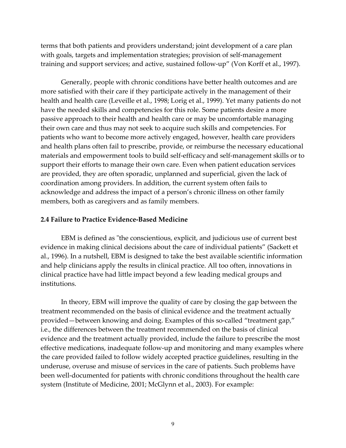terms that both patients and providers understand; joint development of a care plan with goals, targets and implementation strategies; provision of self-management training and support services; and active, sustained follow-up" (Von Korff et al., 1997).

Generally, people with chronic conditions have better health outcomes and are more satisfied with their care if they participate actively in the management of their health and health care (Leveille et al., 1998; Lorig et al., 1999). Yet many patients do not have the needed skills and competencies for this role. Some patients desire a more passive approach to their health and health care or may be uncomfortable managing their own care and thus may not seek to acquire such skills and competencies. For patients who want to become more actively engaged, however, health care providers and health plans often fail to prescribe, provide, or reimburse the necessary educational materials and empowerment tools to build self-efficacyand self-management skills or to support their efforts to manage their own care. Even when patient education services are provided, they are often sporadic, unplanned and superficial, given the lack of coordination among providers. In addition, the current system often fails to acknowledge and address the impact of a person's chronic illness on other family members, both as caregivers and as family members.

### **2.4 Failure to Practice Evidence-Based Medicine**

EBM is defined as "the conscientious, explicit, and judicious use of current best evidence in making clinical decisions about the care of individual patients" (Sackett et al., 1996). In a nutshell, EBM is designed to take the best available scientific information and help clinicians apply the results in clinical practice. All too often, innovations in clinical practice have had little impact beyond a few leading medical groups and institutions.

In theory, EBM will improve the quality of care by closing the gap between the treatment recommended on the basis of clinical evidence and the treatment actually provided—between knowing and doing. Examples of this so-called "treatment gap," i.e., the differences between the treatment recommended on the basis of clinical evidence and the treatment actually provided, include the failure to prescribe the most effective medications, inadequate follow-up and monitoring and many examples where the care provided failed to follow widely accepted practice guidelines, resulting in the underuse, overuse and misuse of services in the care of patients. Such problems have been well-documented for patients with chronic conditions throughout the health care system (Institute of Medicine, 2001; McGlynn et al., 2003). For example: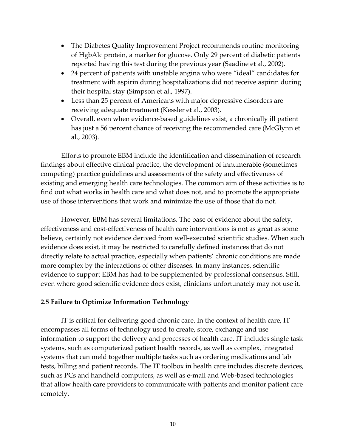- The Diabetes Quality Improvement Project recommends routine monitoring of HgbAlc protein, a marker for glucose. Only 29 percent of diabetic patients reported having this test during the previous year (Saadine et al., 2002).
- 24 percent of patients with unstable angina who were "ideal" candidates for treatment with aspirin during hospitalizations did not receive aspirin during their hospital stay (Simpson et al., 1997).
- Less than 25 percent of Americans with major depressive disorders are receiving adequate treatment (Kessler et al., 2003).
- Overall, even when evidence-based guidelines exist, a chronically ill patient has just a 56 percent chance of receiving the recommended care (McGlynn et al., 2003).

Efforts to promote EBM include the identification and dissemination of research findings about effective clinical practice, the development of innumerable (sometimes competing) practice guidelines and assessments of the safety and effectiveness of existing and emerging health care technologies. The common aim of these activities is to find out what works in health care and what does not, and to promote the appropriate use of those interventions that work and minimize the use of those that do not.

However, EBM has several limitations. The base of evidence about the safety, effectiveness and cost-effectiveness of health care interventions is not as great as some believe, certainly not evidence derived from well-executed scientific studies. When such evidence does exist, it may be restricted to carefully defined instances that do not directly relate to actual practice, especially when patients' chronic conditions are made more complex by the interactions of other diseases. In many instances, scientific evidence to support EBM has had to be supplemented by professional consensus. Still, even where good scientific evidence does exist, clinicians unfortunately may not use it.

## **2.5 Failure to Optimize Information Technology**

IT is critical for delivering good chronic care. In the context of health care, IT encompasses all forms of technology used to create, store, exchange and use information to support the delivery and processes of health care. IT includes single task systems, such as computerized patient health records, as well as complex, integrated systems that can meld together multiple tasks such as ordering medications and lab tests, billing and patient records. The IT toolbox in health care includes discrete devices, such as PCs and handheld computers, as well as e-mail and Web-based technologies that allow health care providers to communicate with patients and monitor patient care remotely.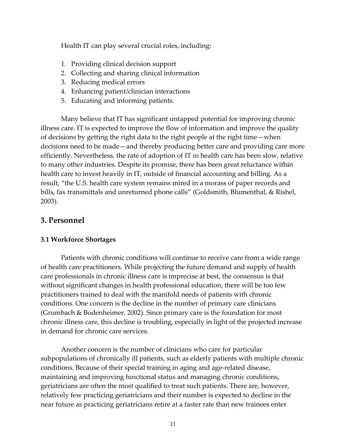Health IT can play several crucial roles, including:

- 1. Providing clinical decision support
- 2. Collecting and sharing clinical information
- 3. Reducing medical errors
- 4. Enhancing patient/clinician interactions
- 5. Educating and informing patients.

Many believe that IT has significant untapped potential for improving chronic illness care. IT is expected to improve the flow of information and improve the quality of decisions by getting the right data to the right people at the right time—when decisions need to be made—and thereby producing better care and providing care more efficiently. Nevertheless, the rate of adoption of IT in health care has been slow, relative to many other industries. Despite its promise, there has been great reluctance within health care to invest heavily in IT, outside of financial accounting and billing. As a result, "the U.S. health care system remains mired in a morass of paper records and bills, fax transmittals and unreturned phone calls" (Goldsmith, Blumenthal, & Rishel, 2003).

# **3. Personnel**

# **3.1 Workforce Shortages**

Patients with chronic conditions will continue to receive care from a wide range of health care practitioners. While projecting the future demand and supply of health care professionals in chronic illness care is imprecise at best, the consensus is that without significant changes in health professional education, there will be too few practitioners trained to deal with the manifold needs of patients with chronic conditions. One concern is the decline in the number of primary care clinicians (Grumbach & Bodenheimer, 2002). Since primary care is the foundation for most chronic illness care, this decline is troubling, especially in light of the projected increase in demand for chronic care services.

Another concern is the number of clinicians who care for particular subpopulations of chronically ill patients, such as elderly patients with multiple chronic conditions. Because of their special training in aging and age-related disease, maintaining and improving functional status and managing chronic conditions, geriatricians are often the most qualified to treat such patients. There are, however, relatively few practicing geriatricians and their number is expected to decline in the near future as practicing geriatricians retire at a faster rate than new trainees enter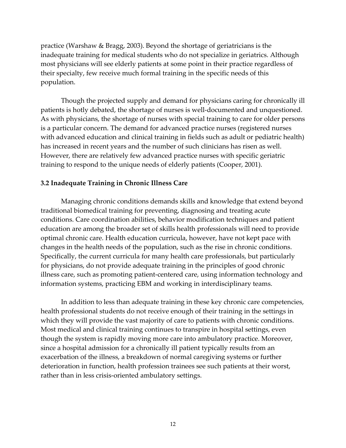practice (Warshaw & Bragg, 2003). Beyond the shortage of geriatricians is the inadequate training for medical students who do not specialize in geriatrics. Although most physicians will see elderly patients at some point in their practice regardless of their specialty, few receive much formal training in the specific needs of this population.

Though the projected supply and demand for physicians caring for chronically ill patients is hotly debated, the shortage of nurses is well-documented and unquestioned. As with physicians, the shortage of nurses with special training to care for older persons is a particular concern. The demand for advanced practice nurses (registered nurses with advanced education and clinical training in fields such as adult or pediatric health) has increased in recent years and the number of such clinicians has risen as well. However, there are relatively few advanced practice nurses with specific geriatric training to respond to the unique needs of elderly patients (Cooper, 2001).

# **3.2 Inadequate Training in Chronic Illness Care**

Managing chronic conditions demands skills and knowledge that extend beyond traditional biomedical training for preventing, diagnosing and treating acute conditions. Care coordination abilities, behavior modification techniques and patient education are among the broader set of skills health professionals will need to provide optimal chronic care. Health education curricula, however, have not kept pace with changes in the health needs of the population, such as the rise in chronic conditions. Specifically, the current curricula for many health care professionals, but particularly for physicians, do not provide adequate training in the principles of good chronic illness care, such as promoting patient-centered care, using information technology and information systems, practicing EBM and working in interdisciplinary teams.

In addition to less than adequate training in these key chronic care competencies, health professional students do not receive enough of their training in the settings in which they will provide the vast majority of care to patients with chronic conditions. Most medical and clinical training continues to transpire in hospital settings, even though the system is rapidly moving more care into ambulatory practice. Moreover, since a hospital admission for a chronically ill patient typically results from an exacerbation of the illness, a breakdown of normal caregiving systems or further deterioration in function, health profession trainees see such patients at their worst, rather than in less crisis-oriented ambulatory settings.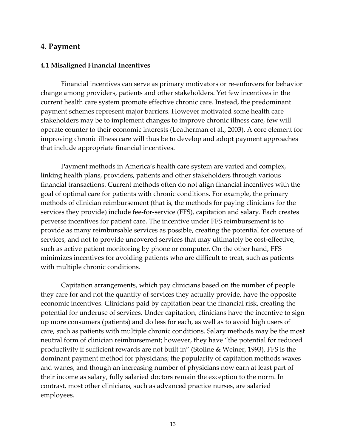# **4. Payment**

### **4.1 Misaligned Financial Incentives**

Financial incentives can serve as primary motivators or re-enforcers for behavior change among providers, patients and other stakeholders. Yet few incentives in the current health care system promote effective chronic care. Instead, the predominant payment schemes represent major barriers. However motivated some health care stakeholders may be to implement changes to improve chronic illness care, few will operate counter to their economic interests (Leatherman et al., 2003). A core element for improving chronic illness care will thus be to develop and adopt payment approaches that include appropriate financial incentives.

Payment methods in America's health care system are varied and complex, linking health plans, providers, patients and other stakeholders through various financial transactions. Current methods often do not align financial incentives with the goal of optimal care for patients with chronic conditions. For example, the primary methods of clinician reimbursement (that is, the methods for paying clinicians for the services they provide) include fee-for-service (FFS), capitation and salary. Each creates perverse incentives for patient care. The incentive under FFS reimbursement is to provide as many reimbursable services as possible, creating the potential for overuse of services, and not to provide uncovered services that may ultimately be cost-effective, such as active patient monitoring by phone or computer. On the other hand, FFS minimizes incentives for avoiding patients who are difficult to treat, such as patients with multiple chronic conditions.

Capitation arrangements, which pay clinicians based on the number of people they care for and not the quantity of services they actually provide, have the opposite economic incentives. Clinicians paid by capitation bear the financial risk, creating the potential for underuse of services. Under capitation, clinicians have the incentive to sign up more consumers (patients) and do less for each, as well as to avoid high users of care, such as patients with multiple chronic conditions. Salary methods may be the most neutral form of clinician reimbursement; however, they have "the potential for reduced productivity if sufficient rewards are not built in" (Stoline & Weiner, 1993). FFS is the dominant payment method for physicians; the popularity of capitation methods waxes and wanes; and though an increasing number of physicians now earn at least part of their income as salary, fully salaried doctors remain the exception to the norm. In contrast, most other clinicians, such as advanced practice nurses, are salaried employees.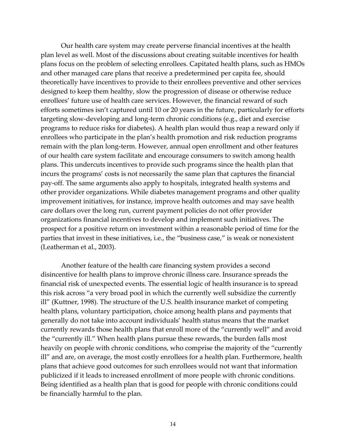Our health care system may create perverse financial incentives at the health plan level as well. Most of the discussions about creating suitable incentives for health plans focus on the problem of selecting enrollees. Capitated health plans, such as HMOs and other managed care plans that receive a predetermined per capita fee, should theoretically have incentives to provide to their enrollees preventive and other services designed to keep them healthy, slow the progression of disease or otherwise reduce enrollees' future use of health care services. However, the financial reward of such efforts sometimes isn't captured until 10 or 20 years in the future, particularly for efforts targeting slow-developing and long-term chronic conditions (e.g., diet and exercise programs to reduce risks for diabetes). A health plan would thus reap a reward only if enrollees who participate in the plan's health promotion and risk reduction programs remain with the plan long-term. However, annual open enrollment and other features of our health care system facilitate and encourage consumers to switch among health plans. This undercuts incentives to provide such programs since the health plan that incurs the programs' costs is not necessarily the same plan that captures the financial pay-off. The same arguments also apply to hospitals, integrated health systems and other provider organizations. While diabetes management programs and other quality improvement initiatives, for instance, improve health outcomes and may save health care dollars over the long run, current payment policies do not offer provider organizations financial incentives to develop and implement such initiatives. The prospect for a positive return on investment within a reasonable period of time for the parties that invest in these initiatives, i.e., the "business case," is weak or nonexistent (Leatherman et al., 2003).

Another feature of the health care financing system provides a second disincentive for health plans to improve chronic illness care. Insurance spreads the financial risk of unexpected events. The essential logic of health insurance is to spread this risk across "a very broad pool in which the currently well subsidize the currently ill" (Kuttner, 1998). The structure of the U.S. health insurance market of competing health plans, voluntary participation, choice among health plans and payments that generally do not take into account individuals' health status means that the market currently rewards those health plans that enroll more of the "currently well" and avoid the "currently ill." When health plans pursue these rewards, the burden falls most heavily on people with chronic conditions, who comprise the majority of the "currently ill" and are, on average, the most costly enrollees for a health plan. Furthermore, health plans that achieve good outcomes for such enrollees would not want that information publicized if it leads to increased enrollment of more people with chronic conditions. Being identified as a health plan that is good for people with chronic conditions could be financially harmful to the plan.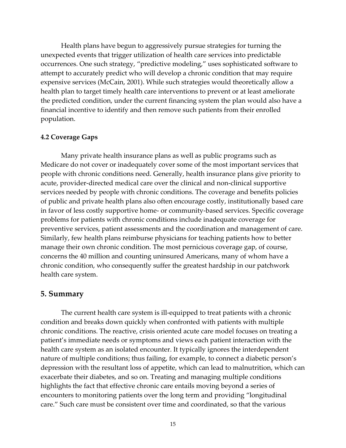Health plans have begun to aggressively pursue strategies for turning the unexpected events that trigger utilization of health care services into predictable occurrences. One such strategy, "predictive modeling," uses sophisticated software to attempt to accurately predict who will develop a chronic condition that may require expensive services (McCain, 2001). While such strategies would theoretically allow a health plan to target timely health care interventions to prevent or at least ameliorate the predicted condition, under the current financing system the plan would also have a financial incentive to identify and then remove such patients from their enrolled population.

### **4.2 Coverage Gaps**

Many private health insurance plans as well as public programs such as Medicare do not cover or inadequately cover some of the most important services that people with chronic conditions need. Generally, health insurance plans give priority to acute, provider-directed medical care over the clinical and non-clinical supportive services needed by people with chronic conditions. The coverage and benefits policies of public and private health plans also often encourage costly, institutionally based care in favor of less costly supportive home- or community-based services. Specific coverage problems for patients with chronic conditions include inadequate coverage for preventive services, patient assessments and the coordination and management of care. Similarly, few health plans reimburse physicians for teaching patients how to better manage their own chronic condition. The most pernicious coverage gap, of course, concerns the 40 million and counting uninsured Americans, many of whom have a chronic condition, who consequently suffer the greatest hardship in our patchwork health care system.

## **5. Summary**

The current health care system is ill-equipped to treat patients with a chronic condition and breaks down quickly when confronted with patients with multiple chronic conditions. The reactive, crisis oriented acute care model focuses on treating a patient's immediate needs or symptoms and views each patient interaction with the health care system as an isolated encounter. It typically ignores the interdependent nature of multiple conditions; thus failing, for example, to connect a diabetic person's depression with the resultant loss of appetite, which can lead to malnutrition, which can exacerbate their diabetes, and so on. Treating and managing multiple conditions highlights the fact that effective chronic care entails moving beyond a series of encounters to monitoring patients over the long term and providing "longitudinal care." Such care must be consistent over time and coordinated, so that the various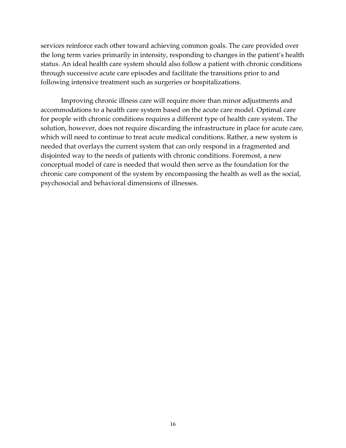services reinforce each other toward achieving common goals. The care provided over the long term varies primarily in intensity, responding to changes in the patient's health status. An ideal health care system should also follow a patient with chronic conditions through successive acute care episodes and facilitate the transitions prior to and following intensive treatment such as surgeries or hospitalizations.

Improving chronic illness care will require more than minor adjustments and accommodations to a health care system based on the acute care model. Optimal care for people with chronic conditions requires a different type of health care system. The solution, however, does not require discarding the infrastructure in place for acute care, which will need to continue to treat acute medical conditions. Rather, a new system is needed that overlays the current system that can only respond in a fragmented and disjointed way to the needs of patients with chronic conditions. Foremost, a new conceptual model of care is needed that would then serve as the foundation for the chronic care component of the system by encompassing the health as well as the social, psychosocial and behavioral dimensions of illnesses.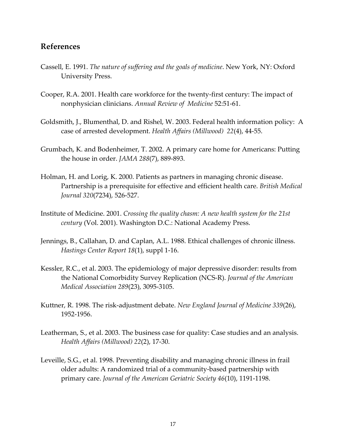# **References**

- Cassell, E. 1991. *The nature of suffering and the goals of medicine*. New York, NY: Oxford University Press.
- Cooper, R.A. 2001. Health care workforce for the twenty-first century: The impact of nonphysician clinicians. *Annual Review of Medicine* 52:51-61.
- Goldsmith, J., Blumenthal, D. and Rishel, W. 2003. Federal health information policy: A case of arrested development. *Health Affairs (Millwood) 22*(4), 44-55.
- Grumbach, K. and Bodenheimer, T. 2002. A primary care home for Americans: Putting the house in order. *JAMA 288*(7), 889-893.
- Holman, H. and Lorig, K. 2000. Patients as partners in managing chronic disease. Partnership is a prerequisite for effective and efficient health care. *British Medical Journal 320*(7234), 526-527.
- Institute of Medicine. 2001. *Crossing the quality chasm: A new health system for the 21st century* (Vol. 2001). Washington D.C.: National Academy Press.
- Jennings, B., Callahan, D. and Caplan, A.L. 1988. Ethical challenges of chronic illness. *Hastings Center Report 18*(1), suppl 1-16.
- Kessler, R.C., et al. 2003. The epidemiology of major depressive disorder: results from the National Comorbidity Survey Replication (NCS-R). *Journal of the American Medical Association 289*(23), 3095-3105.
- Kuttner, R. 1998. The risk-adjustment debate. *New England Journal of Medicine 339*(26), 1952-1956.
- Leatherman, S., et al. 2003. The business case for quality: Case studies and an analysis. *Health Affairs (Millwood) 22*(2), 17-30.
- Leveille, S.G., et al. 1998. Preventing disability and managing chronic illness in frail older adults: A randomized trial of a community-based partnership with primary care. *Journal of the American Geriatric Society 46*(10), 1191-1198.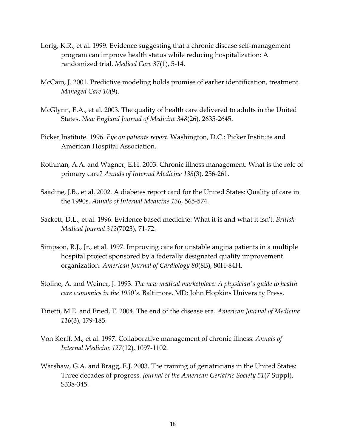- Lorig, K.R., et al. 1999. Evidence suggesting that a chronic disease self-management program can improve health status while reducing hospitalization: A randomized trial. *Medical Care 37*(1), 5-14.
- McCain, J. 2001. Predictive modeling holds promise of earlier identification, treatment. *Managed Care 10*(9).
- McGlynn, E.A., et al. 2003. The quality of health care delivered to adults in the United States. *New England Journal of Medicine 348*(26), 2635-2645.
- Picker Institute. 1996. *Eye on patients report*. Washington, D.C.: Picker Institute and American Hospital Association.
- Rothman, A.A. and Wagner, E.H. 2003. Chronic illness management: What is the role of primary care? *Annals of Internal Medicine 138*(3), 256-261.
- Saadine, J.B., et al. 2002. A diabetes report card for the United States: Quality of care in the 1990s. *Annals of Internal Medicine 136*, 565-574.
- Sackett, D.L., et al. 1996. Evidence based medicine: What it is and what it isn't. *British Medical Journal 312*(7023), 71-72.
- Simpson, R.J., Jr., et al. 1997. Improving care for unstable angina patients in a multiple hospital project sponsored by a federally designated quality improvement organization. *American Journal of Cardiology 80*(8B), 80H-84H.
- Stoline, A. and Weiner, J. 1993. *The new medical marketplace: A physician's guide to health care economics in the 1990's*. Baltimore, MD: John Hopkins University Press.
- Tinetti, M.E. and Fried, T. 2004. The end of the disease era. *American Journal of Medicine 116*(3), 179-185.
- Von Korff, M., et al. 1997. Collaborative management of chronic illness. *Annals of Internal Medicine 127*(12), 1097-1102.
- Warshaw, G.A. and Bragg, E.J. 2003. The training of geriatricians in the United States: Three decades of progress. *Journal of the American Geriatric Society 51*(7 Suppl), S338-345.